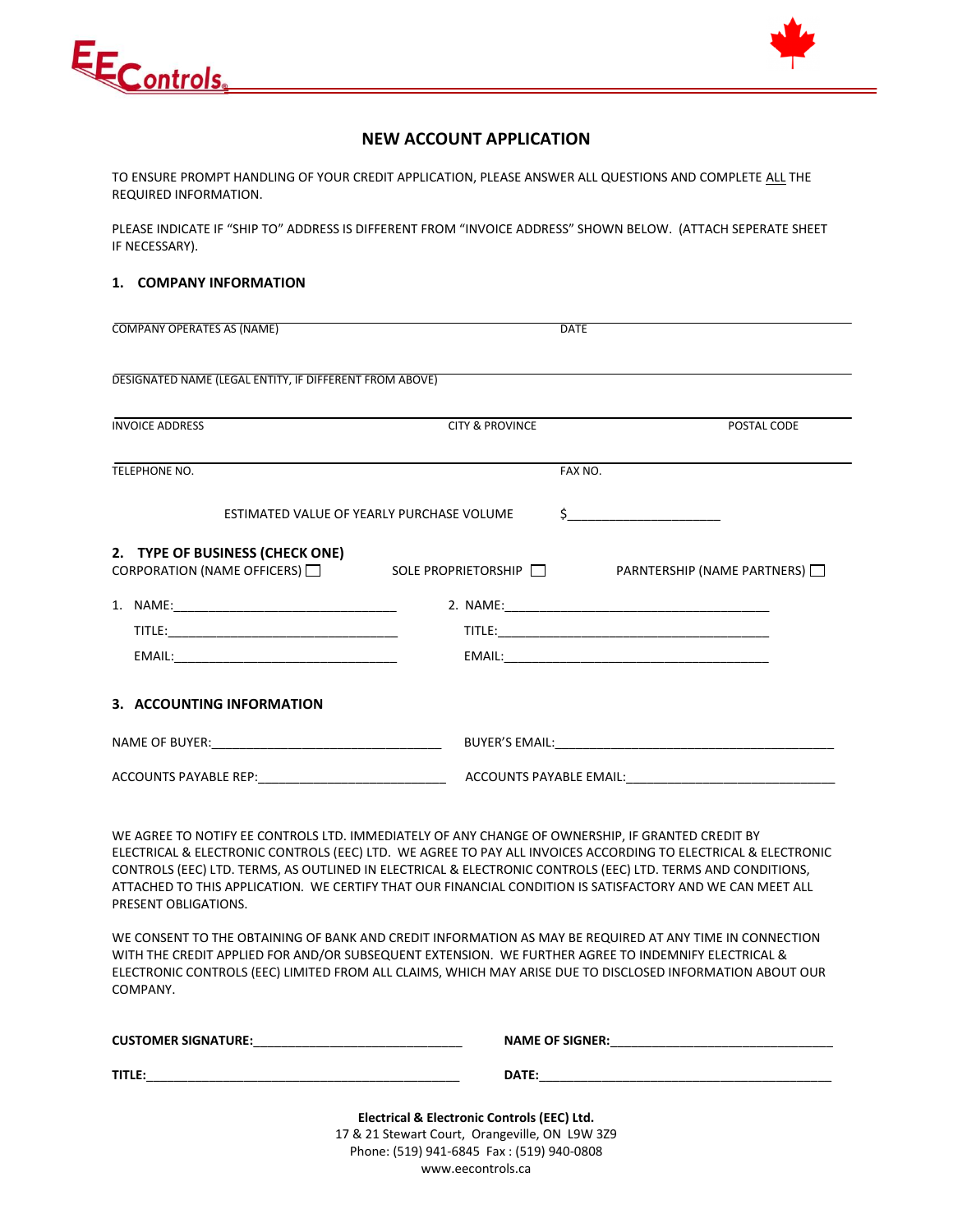



## **NEW ACCOUNT APPLICATION**

TO ENSURE PROMPT HANDLING OF YOUR CREDIT APPLICATION, PLEASE ANSWER ALL QUESTIONS AND COMPLETE ALL THE REQUIRED INFORMATION.

PLEASE INDICATE IF "SHIP TO" ADDRESS IS DIFFERENT FROM "INVOICE ADDRESS" SHOWN BELOW. (ATTACH SEPERATE SHEET IF NECESSARY).

## **1. COMPANY INFORMATION**

| <b>COMPANY OPERATES AS (NAME)</b>                                                                                    | <b>DATE</b>                               |                                                                                                                                                                                                                                                                                                                                                     |
|----------------------------------------------------------------------------------------------------------------------|-------------------------------------------|-----------------------------------------------------------------------------------------------------------------------------------------------------------------------------------------------------------------------------------------------------------------------------------------------------------------------------------------------------|
|                                                                                                                      |                                           |                                                                                                                                                                                                                                                                                                                                                     |
| DESIGNATED NAME (LEGAL ENTITY, IF DIFFERENT FROM ABOVE)                                                              |                                           |                                                                                                                                                                                                                                                                                                                                                     |
|                                                                                                                      |                                           |                                                                                                                                                                                                                                                                                                                                                     |
| <b>INVOICE ADDRESS</b>                                                                                               | <b>CITY &amp; PROVINCE</b>                | POSTAL CODE                                                                                                                                                                                                                                                                                                                                         |
| TELEPHONE NO.                                                                                                        | FAX NO.                                   |                                                                                                                                                                                                                                                                                                                                                     |
|                                                                                                                      | ESTIMATED VALUE OF YEARLY PURCHASE VOLUME | $\begin{picture}(20,10) \put(0,0){\line(1,0){10}} \put(15,0){\line(1,0){10}} \put(15,0){\line(1,0){10}} \put(15,0){\line(1,0){10}} \put(15,0){\line(1,0){10}} \put(15,0){\line(1,0){10}} \put(15,0){\line(1,0){10}} \put(15,0){\line(1,0){10}} \put(15,0){\line(1,0){10}} \put(15,0){\line(1,0){10}} \put(15,0){\line(1,0){10}} \put(15,0){\line(1$ |
| 2. TYPE OF BUSINESS (CHECK ONE)<br>CORPORATION (NAME OFFICERS) □ SOLE PROPRIETORSHIP □ PARNTERSHIP (NAME PARTNERS) □ |                                           |                                                                                                                                                                                                                                                                                                                                                     |
|                                                                                                                      |                                           |                                                                                                                                                                                                                                                                                                                                                     |
|                                                                                                                      |                                           |                                                                                                                                                                                                                                                                                                                                                     |
|                                                                                                                      |                                           |                                                                                                                                                                                                                                                                                                                                                     |
| 3. ACCOUNTING INFORMATION                                                                                            |                                           |                                                                                                                                                                                                                                                                                                                                                     |
| NAME OF BUYER: NAME OF BUYER:                                                                                        |                                           |                                                                                                                                                                                                                                                                                                                                                     |
|                                                                                                                      |                                           |                                                                                                                                                                                                                                                                                                                                                     |
|                                                                                                                      |                                           |                                                                                                                                                                                                                                                                                                                                                     |

WE AGREE TO NOTIFY EE CONTROLS LTD. IMMEDIATELY OF ANY CHANGE OF OWNERSHIP, IF GRANTED CREDIT BY ELECTRICAL & ELECTRONIC CONTROLS (EEC) LTD. WE AGREE TO PAY ALL INVOICES ACCORDING TO ELECTRICAL & ELECTRONIC CONTROLS (EEC) LTD. TERMS, AS OUTLINED IN ELECTRICAL & ELECTRONIC CONTROLS (EEC) LTD. TERMS AND CONDITIONS, ATTACHED TO THIS APPLICATION. WE CERTIFY THAT OUR FINANCIAL CONDITION IS SATISFACTORY AND WE CAN MEET ALL PRESENT OBLIGATIONS.

WE CONSENT TO THE OBTAINING OF BANK AND CREDIT INFORMATION AS MAY BE REQUIRED AT ANY TIME IN CONNECTION WITH THE CREDIT APPLIED FOR AND/OR SUBSEQUENT EXTENSION. WE FURTHER AGREE TO INDEMNIFY ELECTRICAL & ELECTRONIC CONTROLS (EEC) LIMITED FROM ALL CLAIMS, WHICH MAY ARISE DUE TO DISCLOSED INFORMATION ABOUT OUR COMPANY.

**CUSTOMER SIGNATURE:**\_\_\_\_\_\_\_\_\_\_\_\_\_\_\_\_\_\_\_\_\_\_\_\_\_\_\_\_\_\_ **NAME OF SIGNER:**\_\_\_\_\_\_\_\_\_\_\_\_\_\_\_\_\_\_\_\_\_\_\_\_\_\_\_\_\_\_\_\_

**TIME:**  $T = \frac{1}{2}$ 

**Electrical & Electronic Controls (EEC) Ltd.** 17 & 21 Stewart Court, Orangeville, ON L9W 3Z9 Phone: (519) 941-6845 Fax : (519) 940-0808 www.eecontrols.ca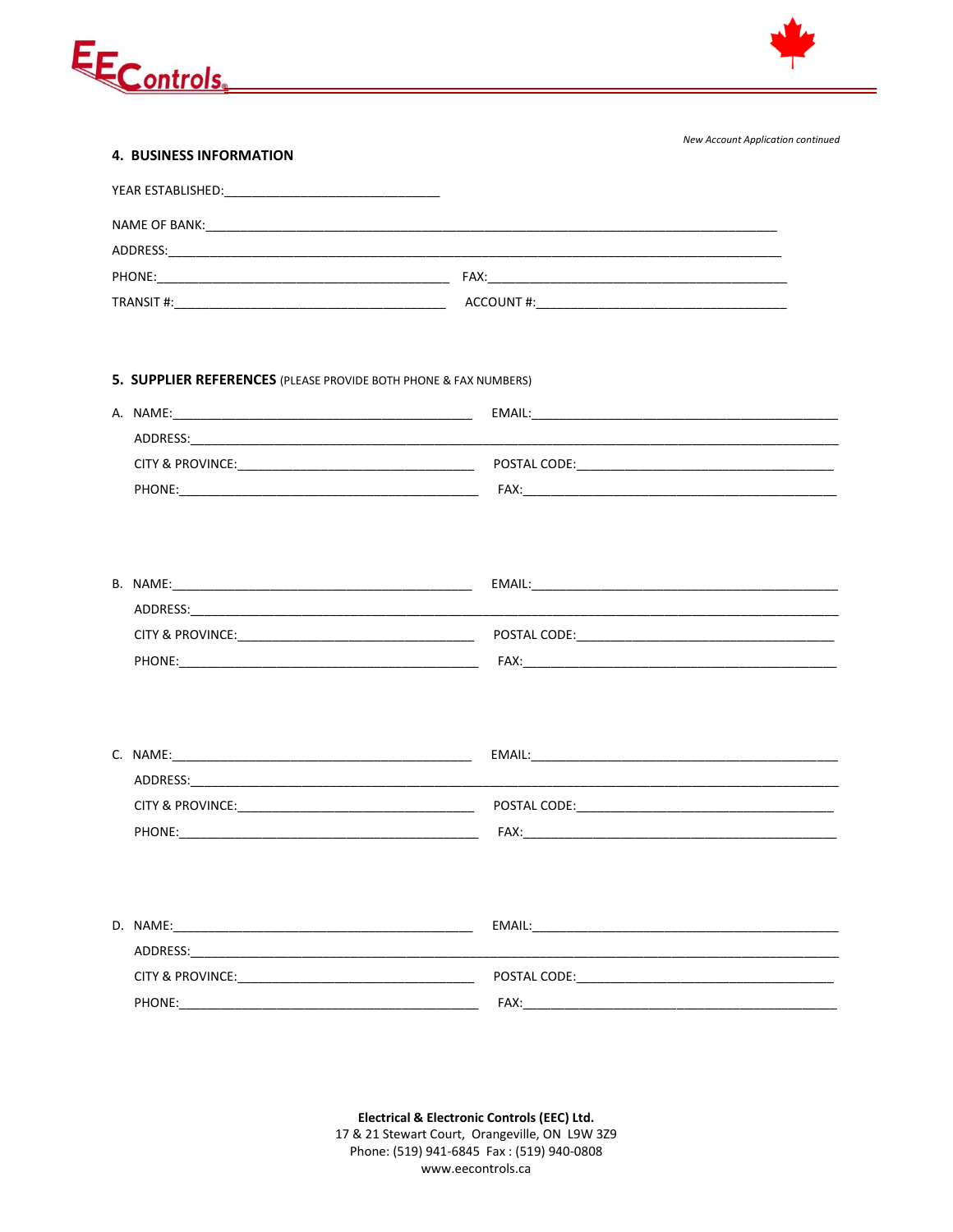



New Account Application continued

| <b>4. BUSINESS INFORMATION</b>                                   |        |  |  |  |
|------------------------------------------------------------------|--------|--|--|--|
|                                                                  |        |  |  |  |
|                                                                  |        |  |  |  |
|                                                                  |        |  |  |  |
|                                                                  |        |  |  |  |
|                                                                  |        |  |  |  |
|                                                                  |        |  |  |  |
|                                                                  |        |  |  |  |
| 5. SUPPLIER REFERENCES (PLEASE PROVIDE BOTH PHONE & FAX NUMBERS) |        |  |  |  |
|                                                                  | EMAIL: |  |  |  |

| ADDRESS:                    |              |
|-----------------------------|--------------|
| <b>CITY &amp; PROVINCE:</b> | POSTAL CODE: |
| PHONE:                      | FAX:         |

| B. NAME:                    | EMAIL:       |
|-----------------------------|--------------|
| ADDRESS:                    |              |
| <b>CITY &amp; PROVINCE:</b> | POSTAL CODE: |
| PHONE:                      | <b>FAX</b>   |

| C. NAME:                    | EMAIL:       |
|-----------------------------|--------------|
| ADDRESS:                    |              |
| <b>CITY &amp; PROVINCE:</b> | POSTAL CODE: |
| PHONE:                      | FAX:         |

| D. NAME:                    | EMAIL:       |
|-----------------------------|--------------|
| ADDRESS:                    |              |
| <b>CITY &amp; PROVINCE:</b> | POSTAL CODE: |
| PHONE:                      | FAX:         |

Electrical & Electronic Controls (EEC) Ltd. 17 & 21 Stewart Court, Orangeville, ON L9W 3Z9 Phone: (519) 941-6845 Fax: (519) 940-0808 www.eecontrols.ca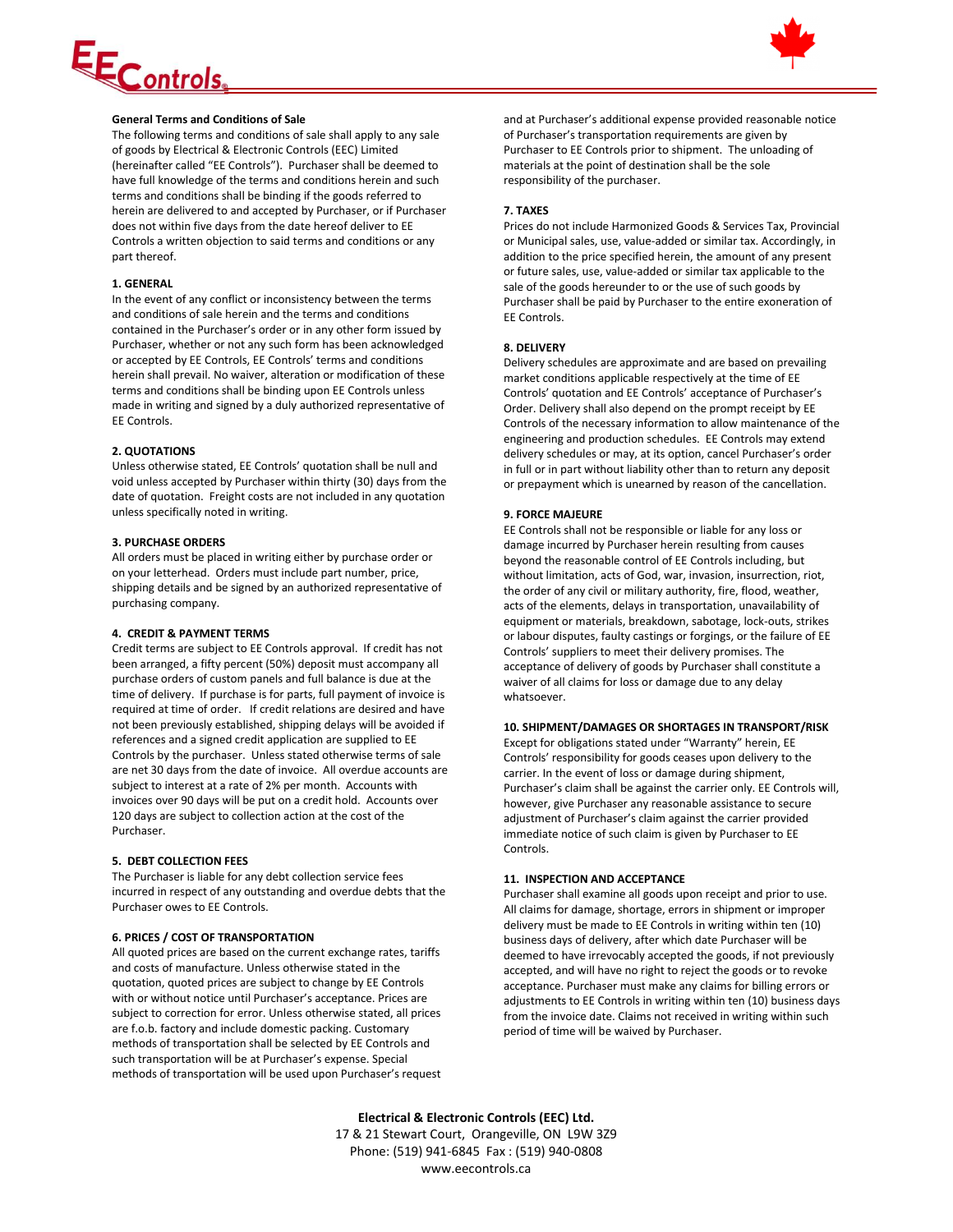# <u>EControls</u>



## **General Terms and Conditions of Sale**

The following terms and conditions of sale shall apply to any sale of goods by Electrical & Electronic Controls (EEC) Limited (hereinafter called "EE Controls"). Purchaser shall be deemed to have full knowledge of the terms and conditions herein and such terms and conditions shall be binding if the goods referred to herein are delivered to and accepted by Purchaser, or if Purchaser does not within five days from the date hereof deliver to EE Controls a written objection to said terms and conditions or any part thereof.

### **1. GENERAL**

In the event of any conflict or inconsistency between the terms and conditions of sale herein and the terms and conditions contained in the Purchaser's order or in any other form issued by Purchaser, whether or not any such form has been acknowledged or accepted by EE Controls, EE Controls' terms and conditions herein shall prevail. No waiver, alteration or modification of these terms and conditions shall be binding upon EE Controls unless made in writing and signed by a duly authorized representative of EE Controls.

### **2. QUOTATIONS**

Unless otherwise stated, EE Controls' quotation shall be null and void unless accepted by Purchaser within thirty (30) days from the date of quotation. Freight costs are not included in any quotation unless specifically noted in writing.

#### **3. PURCHASE ORDERS**

All orders must be placed in writing either by purchase order or on your letterhead. Orders must include part number, price, shipping details and be signed by an authorized representative of purchasing company.

#### **4. CREDIT & PAYMENT TERMS**

Credit terms are subject to EE Controls approval. If credit has not been arranged, a fifty percent (50%) deposit must accompany all purchase orders of custom panels and full balance is due at the time of delivery. If purchase is for parts, full payment of invoice is required at time of order. If credit relations are desired and have not been previously established, shipping delays will be avoided if references and a signed credit application are supplied to EE Controls by the purchaser. Unless stated otherwise terms of sale are net 30 days from the date of invoice. All overdue accounts are subject to interest at a rate of 2% per month. Accounts with invoices over 90 days will be put on a credit hold. Accounts over 120 days are subject to collection action at the cost of the Purchaser.

#### **5. DEBT COLLECTION FEES**

The Purchaser is liable for any debt collection service fees incurred in respect of any outstanding and overdue debts that the Purchaser owes to EE Controls.

#### **6. PRICES / COST OF TRANSPORTATION**

All quoted prices are based on the current exchange rates, tariffs and costs of manufacture. Unless otherwise stated in the quotation, quoted prices are subject to change by EE Controls with or without notice until Purchaser's acceptance. Prices are subject to correction for error. Unless otherwise stated, all prices are f.o.b. factory and include domestic packing. Customary methods of transportation shall be selected by EE Controls and such transportation will be at Purchaser's expense. Special methods of transportation will be used upon Purchaser's request and at Purchaser's additional expense provided reasonable notice of Purchaser's transportation requirements are given by Purchaser to EE Controls prior to shipment. The unloading of materials at the point of destination shall be the sole responsibility of the purchaser.

### **7. TAXES**

Prices do not include Harmonized Goods & Services Tax, Provincial or Municipal sales, use, value-added or similar tax. Accordingly, in addition to the price specified herein, the amount of any present or future sales, use, value-added or similar tax applicable to the sale of the goods hereunder to or the use of such goods by Purchaser shall be paid by Purchaser to the entire exoneration of EE Controls.

### **8. DELIVERY**

Delivery schedules are approximate and are based on prevailing market conditions applicable respectively at the time of EE Controls' quotation and EE Controls' acceptance of Purchaser's Order. Delivery shall also depend on the prompt receipt by EE Controls of the necessary information to allow maintenance of the engineering and production schedules. EE Controls may extend delivery schedules or may, at its option, cancel Purchaser's order in full or in part without liability other than to return any deposit or prepayment which is unearned by reason of the cancellation.

### **9. FORCE MAJEURE**

EE Controls shall not be responsible or liable for any loss or damage incurred by Purchaser herein resulting from causes beyond the reasonable control of EE Controls including, but without limitation, acts of God, war, invasion, insurrection, riot, the order of any civil or military authority, fire, flood, weather, acts of the elements, delays in transportation, unavailability of equipment or materials, breakdown, sabotage, lock-outs, strikes or labour disputes, faulty castings or forgings, or the failure of EE Controls' suppliers to meet their delivery promises. The acceptance of delivery of goods by Purchaser shall constitute a waiver of all claims for loss or damage due to any delay whatsoever.

#### **10. SHIPMENT/DAMAGES OR SHORTAGES IN TRANSPORT/RISK**

Except for obligations stated under "Warranty" herein, EE Controls' responsibility for goods ceases upon delivery to the carrier. In the event of loss or damage during shipment, Purchaser's claim shall be against the carrier only. EE Controls will, however, give Purchaser any reasonable assistance to secure adjustment of Purchaser's claim against the carrier provided immediate notice of such claim is given by Purchaser to EE Controls.

#### **11. INSPECTION AND ACCEPTANCE**

Purchaser shall examine all goods upon receipt and prior to use. All claims for damage, shortage, errors in shipment or improper delivery must be made to EE Controls in writing within ten (10) business days of delivery, after which date Purchaser will be deemed to have irrevocably accepted the goods, if not previously accepted, and will have no right to reject the goods or to revoke acceptance. Purchaser must make any claims for billing errors or adjustments to EE Controls in writing within ten (10) business days from the invoice date. Claims not received in writing within such period of time will be waived by Purchaser.

**Electrical & Electronic Controls (EEC) Ltd.** 17 & 21 Stewart Court, Orangeville, ON L9W 3Z9 Phone: (519) 941-6845 Fax : (519) 940-0808 www.eecontrols.ca